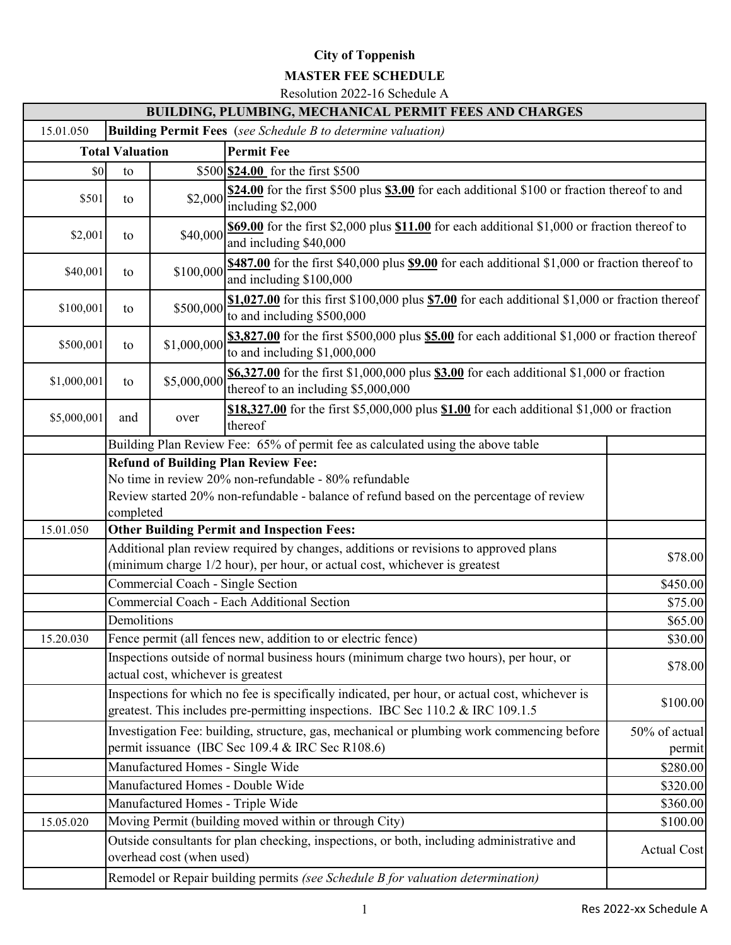## **City of Toppenish**

## **MASTER FEE SCHEDULE**

Resolution 2022-16 Schedule A

|                                                                                 |                                                   |                                    | <b>BUILDING, PLUMBING, MECHANICAL PERMIT FEES AND CHARGES</b>                                                                                                                     |                                                                                               |  |  |  |  |  |  |
|---------------------------------------------------------------------------------|---------------------------------------------------|------------------------------------|-----------------------------------------------------------------------------------------------------------------------------------------------------------------------------------|-----------------------------------------------------------------------------------------------|--|--|--|--|--|--|
| 15.01.050                                                                       |                                                   |                                    | <b>Building Permit Fees</b> (see Schedule B to determine valuation)                                                                                                               |                                                                                               |  |  |  |  |  |  |
|                                                                                 | <b>Total Valuation</b>                            |                                    | <b>Permit Fee</b>                                                                                                                                                                 |                                                                                               |  |  |  |  |  |  |
| \$0                                                                             | \$500 <b>\$24.00</b> for the first \$500<br>to    |                                    |                                                                                                                                                                                   |                                                                                               |  |  |  |  |  |  |
| \$501                                                                           | to                                                | \$2,000                            | \$24.00 for the first \$500 plus \$3.00 for each additional \$100 or fraction thereof to and<br>including \$2,000                                                                 |                                                                                               |  |  |  |  |  |  |
| \$2,001                                                                         | to                                                | \$40,000                           | and including \$40,000                                                                                                                                                            | \$69.00 for the first \$2,000 plus \$11.00 for each additional \$1,000 or fraction thereof to |  |  |  |  |  |  |
| \$40,001                                                                        | to                                                | \$100,000                          | \$487.00 for the first \$40,000 plus \$9.00 for each additional \$1,000 or fraction thereof to<br>and including \$100,000                                                         |                                                                                               |  |  |  |  |  |  |
| \$100,001                                                                       | to                                                | \$500,000                          | $$1,027.00$ for this first \$100,000 plus $$7.00$ for each additional \$1,000 or fraction thereof<br>to and including \$500,000                                                   |                                                                                               |  |  |  |  |  |  |
| \$500,001                                                                       | to                                                | \$1,000,000                        | $$3,827.00$ for the first \$500,000 plus $$5.00$ for each additional \$1,000 or fraction thereof<br>to and including \$1,000,000                                                  |                                                                                               |  |  |  |  |  |  |
| \$1,000,001                                                                     | to                                                | \$5,000,000                        | \$6,327.00 for the first \$1,000,000 plus \$3.00 for each additional \$1,000 or fraction<br>thereof to an including \$5,000,000                                                   |                                                                                               |  |  |  |  |  |  |
| \$5,000,001                                                                     | and                                               | over                               | \$18,327.00 for the first \$5,000,000 plus \$1.00 for each additional \$1,000 or fraction<br>thereof                                                                              |                                                                                               |  |  |  |  |  |  |
|                                                                                 |                                                   |                                    | Building Plan Review Fee: 65% of permit fee as calculated using the above table                                                                                                   |                                                                                               |  |  |  |  |  |  |
|                                                                                 |                                                   |                                    | <b>Refund of Building Plan Review Fee:</b>                                                                                                                                        |                                                                                               |  |  |  |  |  |  |
|                                                                                 |                                                   |                                    | No time in review 20% non-refundable - 80% refundable                                                                                                                             |                                                                                               |  |  |  |  |  |  |
|                                                                                 |                                                   |                                    | Review started 20% non-refundable - balance of refund based on the percentage of review                                                                                           |                                                                                               |  |  |  |  |  |  |
|                                                                                 | completed                                         |                                    |                                                                                                                                                                                   |                                                                                               |  |  |  |  |  |  |
| 15.01.050                                                                       | <b>Other Building Permit and Inspection Fees:</b> |                                    |                                                                                                                                                                                   |                                                                                               |  |  |  |  |  |  |
|                                                                                 |                                                   |                                    | Additional plan review required by changes, additions or revisions to approved plans<br>(minimum charge 1/2 hour), per hour, or actual cost, whichever is greatest                | \$78.00                                                                                       |  |  |  |  |  |  |
|                                                                                 | Commercial Coach - Single Section                 |                                    |                                                                                                                                                                                   |                                                                                               |  |  |  |  |  |  |
|                                                                                 |                                                   |                                    | Commercial Coach - Each Additional Section                                                                                                                                        | \$75.00                                                                                       |  |  |  |  |  |  |
|                                                                                 | Demolitions                                       |                                    |                                                                                                                                                                                   | \$65.00                                                                                       |  |  |  |  |  |  |
| 15.20.030                                                                       |                                                   |                                    | Fence permit (all fences new, addition to or electric fence)                                                                                                                      | \$30.00                                                                                       |  |  |  |  |  |  |
|                                                                                 |                                                   | actual cost, whichever is greatest | Inspections outside of normal business hours (minimum charge two hours), per hour, or                                                                                             | \$78.00                                                                                       |  |  |  |  |  |  |
|                                                                                 |                                                   |                                    | Inspections for which no fee is specifically indicated, per hour, or actual cost, whichever is<br>greatest. This includes pre-permitting inspections. IBC Sec 110.2 & IRC 109.1.5 | \$100.00                                                                                      |  |  |  |  |  |  |
|                                                                                 |                                                   |                                    | Investigation Fee: building, structure, gas, mechanical or plumbing work commencing before<br>permit issuance (IBC Sec 109.4 & IRC Sec R108.6)                                    | 50% of actual<br>permit                                                                       |  |  |  |  |  |  |
|                                                                                 |                                                   |                                    | Manufactured Homes - Single Wide                                                                                                                                                  | \$280.00                                                                                      |  |  |  |  |  |  |
|                                                                                 |                                                   |                                    | Manufactured Homes - Double Wide                                                                                                                                                  | \$320.00                                                                                      |  |  |  |  |  |  |
|                                                                                 |                                                   | Manufactured Homes - Triple Wide   |                                                                                                                                                                                   | \$360.00                                                                                      |  |  |  |  |  |  |
| 15.05.020                                                                       |                                                   |                                    | Moving Permit (building moved within or through City)                                                                                                                             | \$100.00                                                                                      |  |  |  |  |  |  |
|                                                                                 |                                                   | overhead cost (when used)          | Outside consultants for plan checking, inspections, or both, including administrative and                                                                                         | <b>Actual Cost</b>                                                                            |  |  |  |  |  |  |
| Remodel or Repair building permits (see Schedule B for valuation determination) |                                                   |                                    |                                                                                                                                                                                   |                                                                                               |  |  |  |  |  |  |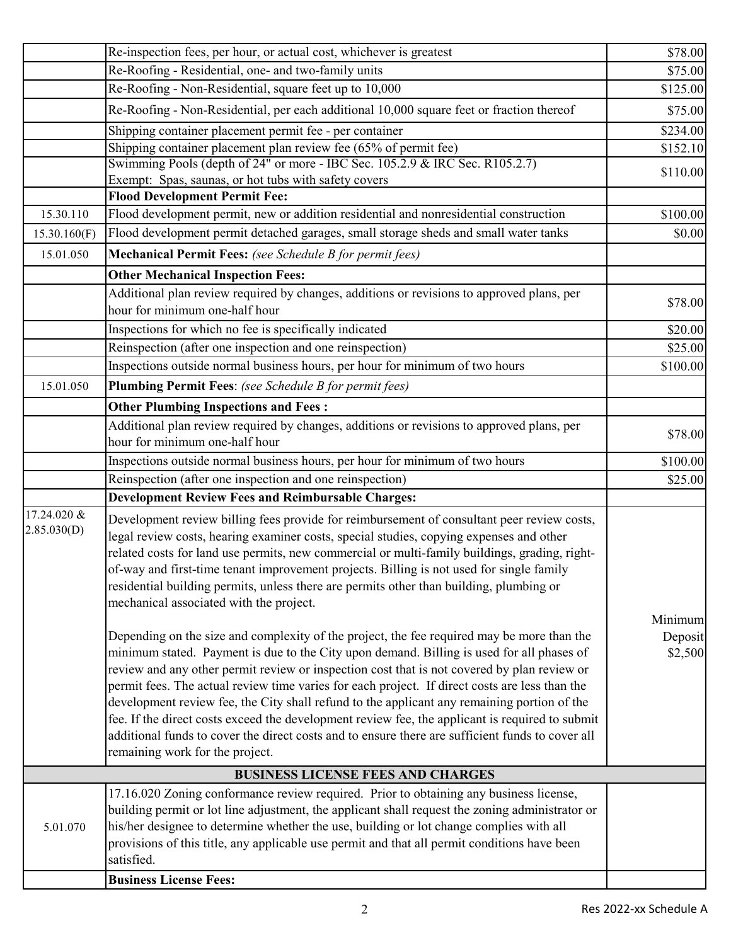|                            | Re-inspection fees, per hour, or actual cost, whichever is greatest                                                                                                                                                                                                                                                                                                                                                                                                                                                                                                                                                                                                                                                                                                                                                                                                                                                                                                                                                                                                                                                                                                                                                                                           | \$78.00                       |
|----------------------------|---------------------------------------------------------------------------------------------------------------------------------------------------------------------------------------------------------------------------------------------------------------------------------------------------------------------------------------------------------------------------------------------------------------------------------------------------------------------------------------------------------------------------------------------------------------------------------------------------------------------------------------------------------------------------------------------------------------------------------------------------------------------------------------------------------------------------------------------------------------------------------------------------------------------------------------------------------------------------------------------------------------------------------------------------------------------------------------------------------------------------------------------------------------------------------------------------------------------------------------------------------------|-------------------------------|
|                            | Re-Roofing - Residential, one- and two-family units                                                                                                                                                                                                                                                                                                                                                                                                                                                                                                                                                                                                                                                                                                                                                                                                                                                                                                                                                                                                                                                                                                                                                                                                           | \$75.00                       |
|                            | Re-Roofing - Non-Residential, square feet up to 10,000                                                                                                                                                                                                                                                                                                                                                                                                                                                                                                                                                                                                                                                                                                                                                                                                                                                                                                                                                                                                                                                                                                                                                                                                        | \$125.00                      |
|                            | Re-Roofing - Non-Residential, per each additional 10,000 square feet or fraction thereof                                                                                                                                                                                                                                                                                                                                                                                                                                                                                                                                                                                                                                                                                                                                                                                                                                                                                                                                                                                                                                                                                                                                                                      | \$75.00                       |
|                            | Shipping container placement permit fee - per container                                                                                                                                                                                                                                                                                                                                                                                                                                                                                                                                                                                                                                                                                                                                                                                                                                                                                                                                                                                                                                                                                                                                                                                                       | \$234.00                      |
|                            | Shipping container placement plan review fee $(65\% \text{ of permit fee})$                                                                                                                                                                                                                                                                                                                                                                                                                                                                                                                                                                                                                                                                                                                                                                                                                                                                                                                                                                                                                                                                                                                                                                                   | \$152.10                      |
|                            | Swimming Pools (depth of 24" or more - IBC Sec. 105.2.9 & IRC Sec. R105.2.7)                                                                                                                                                                                                                                                                                                                                                                                                                                                                                                                                                                                                                                                                                                                                                                                                                                                                                                                                                                                                                                                                                                                                                                                  | \$110.00                      |
|                            | Exempt: Spas, saunas, or hot tubs with safety covers                                                                                                                                                                                                                                                                                                                                                                                                                                                                                                                                                                                                                                                                                                                                                                                                                                                                                                                                                                                                                                                                                                                                                                                                          |                               |
|                            | <b>Flood Development Permit Fee:</b>                                                                                                                                                                                                                                                                                                                                                                                                                                                                                                                                                                                                                                                                                                                                                                                                                                                                                                                                                                                                                                                                                                                                                                                                                          |                               |
| 15.30.110                  | Flood development permit, new or addition residential and nonresidential construction                                                                                                                                                                                                                                                                                                                                                                                                                                                                                                                                                                                                                                                                                                                                                                                                                                                                                                                                                                                                                                                                                                                                                                         | \$100.00                      |
| 15.30.160(F)               | Flood development permit detached garages, small storage sheds and small water tanks                                                                                                                                                                                                                                                                                                                                                                                                                                                                                                                                                                                                                                                                                                                                                                                                                                                                                                                                                                                                                                                                                                                                                                          | \$0.00                        |
| 15.01.050                  | Mechanical Permit Fees: (see Schedule B for permit fees)                                                                                                                                                                                                                                                                                                                                                                                                                                                                                                                                                                                                                                                                                                                                                                                                                                                                                                                                                                                                                                                                                                                                                                                                      |                               |
|                            | <b>Other Mechanical Inspection Fees:</b>                                                                                                                                                                                                                                                                                                                                                                                                                                                                                                                                                                                                                                                                                                                                                                                                                                                                                                                                                                                                                                                                                                                                                                                                                      |                               |
|                            | Additional plan review required by changes, additions or revisions to approved plans, per<br>hour for minimum one-half hour                                                                                                                                                                                                                                                                                                                                                                                                                                                                                                                                                                                                                                                                                                                                                                                                                                                                                                                                                                                                                                                                                                                                   | \$78.00                       |
|                            | Inspections for which no fee is specifically indicated                                                                                                                                                                                                                                                                                                                                                                                                                                                                                                                                                                                                                                                                                                                                                                                                                                                                                                                                                                                                                                                                                                                                                                                                        | \$20.00                       |
|                            | Reinspection (after one inspection and one reinspection)                                                                                                                                                                                                                                                                                                                                                                                                                                                                                                                                                                                                                                                                                                                                                                                                                                                                                                                                                                                                                                                                                                                                                                                                      | \$25.00                       |
|                            | Inspections outside normal business hours, per hour for minimum of two hours                                                                                                                                                                                                                                                                                                                                                                                                                                                                                                                                                                                                                                                                                                                                                                                                                                                                                                                                                                                                                                                                                                                                                                                  | \$100.00                      |
| 15.01.050                  | <b>Plumbing Permit Fees:</b> (see Schedule B for permit fees)                                                                                                                                                                                                                                                                                                                                                                                                                                                                                                                                                                                                                                                                                                                                                                                                                                                                                                                                                                                                                                                                                                                                                                                                 |                               |
|                            | <b>Other Plumbing Inspections and Fees:</b>                                                                                                                                                                                                                                                                                                                                                                                                                                                                                                                                                                                                                                                                                                                                                                                                                                                                                                                                                                                                                                                                                                                                                                                                                   |                               |
|                            | Additional plan review required by changes, additions or revisions to approved plans, per<br>hour for minimum one-half hour                                                                                                                                                                                                                                                                                                                                                                                                                                                                                                                                                                                                                                                                                                                                                                                                                                                                                                                                                                                                                                                                                                                                   | \$78.00                       |
|                            | Inspections outside normal business hours, per hour for minimum of two hours                                                                                                                                                                                                                                                                                                                                                                                                                                                                                                                                                                                                                                                                                                                                                                                                                                                                                                                                                                                                                                                                                                                                                                                  | \$100.00                      |
|                            | Reinspection (after one inspection and one reinspection)                                                                                                                                                                                                                                                                                                                                                                                                                                                                                                                                                                                                                                                                                                                                                                                                                                                                                                                                                                                                                                                                                                                                                                                                      | \$25.00                       |
|                            | <b>Development Review Fees and Reimbursable Charges:</b>                                                                                                                                                                                                                                                                                                                                                                                                                                                                                                                                                                                                                                                                                                                                                                                                                                                                                                                                                                                                                                                                                                                                                                                                      |                               |
| 17.24.020 &<br>2.85.030(D) | Development review billing fees provide for reimbursement of consultant peer review costs,<br>legal review costs, hearing examiner costs, special studies, copying expenses and other<br>related costs for land use permits, new commercial or multi-family buildings, grading, right-<br>of-way and first-time tenant improvement projects. Billing is not used for single family<br>residential building permits, unless there are permits other than building, plumbing or<br>mechanical associated with the project.<br>Depending on the size and complexity of the project, the fee required may be more than the<br>minimum stated. Payment is due to the City upon demand. Billing is used for all phases of<br>review and any other permit review or inspection cost that is not covered by plan review or<br>permit fees. The actual review time varies for each project. If direct costs are less than the<br>development review fee, the City shall refund to the applicant any remaining portion of the<br>fee. If the direct costs exceed the development review fee, the applicant is required to submit<br>additional funds to cover the direct costs and to ensure there are sufficient funds to cover all<br>remaining work for the project. | Minimum<br>Deposit<br>\$2,500 |
|                            | <b>BUSINESS LICENSE FEES AND CHARGES</b>                                                                                                                                                                                                                                                                                                                                                                                                                                                                                                                                                                                                                                                                                                                                                                                                                                                                                                                                                                                                                                                                                                                                                                                                                      |                               |
|                            | 17.16.020 Zoning conformance review required. Prior to obtaining any business license,                                                                                                                                                                                                                                                                                                                                                                                                                                                                                                                                                                                                                                                                                                                                                                                                                                                                                                                                                                                                                                                                                                                                                                        |                               |
| 5.01.070                   | building permit or lot line adjustment, the applicant shall request the zoning administrator or<br>his/her designee to determine whether the use, building or lot change complies with all<br>provisions of this title, any applicable use permit and that all permit conditions have been<br>satisfied.                                                                                                                                                                                                                                                                                                                                                                                                                                                                                                                                                                                                                                                                                                                                                                                                                                                                                                                                                      |                               |
|                            | <b>Business License Fees:</b>                                                                                                                                                                                                                                                                                                                                                                                                                                                                                                                                                                                                                                                                                                                                                                                                                                                                                                                                                                                                                                                                                                                                                                                                                                 |                               |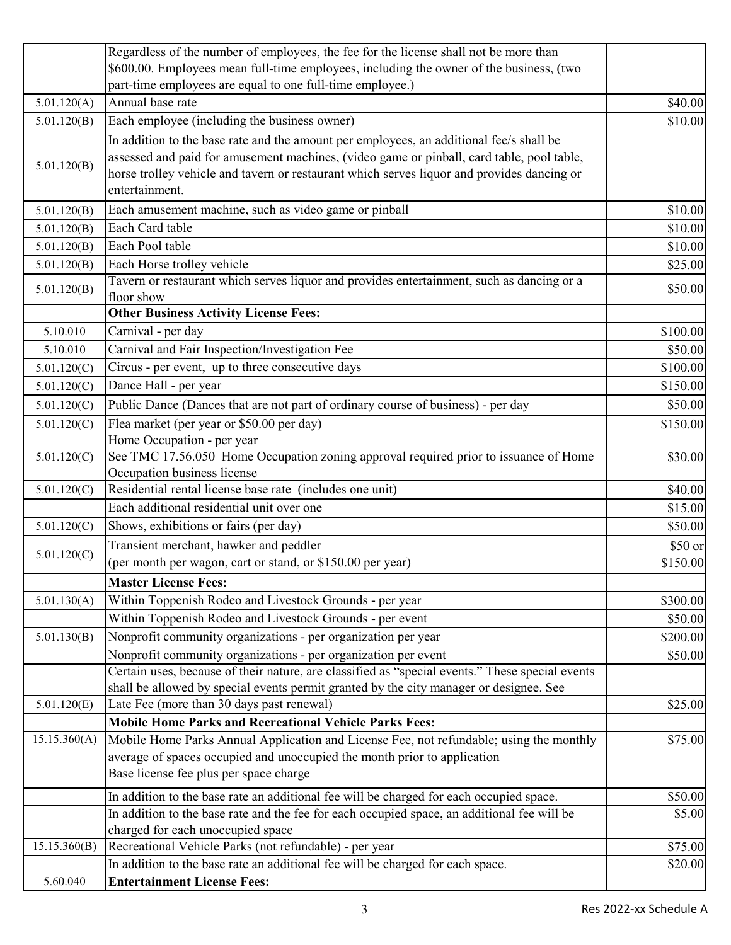|              | Regardless of the number of employees, the fee for the license shall not be more than                              |          |
|--------------|--------------------------------------------------------------------------------------------------------------------|----------|
|              | \$600.00. Employees mean full-time employees, including the owner of the business, (two                            |          |
|              | part-time employees are equal to one full-time employee.)                                                          |          |
| 5.01.120(A)  | Annual base rate                                                                                                   | \$40.00  |
| 5.01.120(B)  | Each employee (including the business owner)                                                                       | \$10.00  |
|              | In addition to the base rate and the amount per employees, an additional fee/s shall be                            |          |
|              | assessed and paid for amusement machines, (video game or pinball, card table, pool table,                          |          |
| 5.01.120(B)  | horse trolley vehicle and tavern or restaurant which serves liquor and provides dancing or                         |          |
|              | entertainment.                                                                                                     |          |
| 5.01.120(B)  | Each amusement machine, such as video game or pinball                                                              | \$10.00  |
| 5.01.120(B)  | Each Card table                                                                                                    | \$10.00  |
| 5.01.120(B)  | Each Pool table                                                                                                    | \$10.00  |
| 5.01.120(B)  | Each Horse trolley vehicle                                                                                         | \$25.00  |
| 5.01.120(B)  | Tavern or restaurant which serves liquor and provides entertainment, such as dancing or a                          | \$50.00  |
|              | floor show                                                                                                         |          |
|              | <b>Other Business Activity License Fees:</b>                                                                       |          |
| 5.10.010     | Carnival - per day                                                                                                 | \$100.00 |
| 5.10.010     | Carnival and Fair Inspection/Investigation Fee                                                                     | \$50.00  |
| 5.01.120(C)  | Circus - per event, up to three consecutive days                                                                   | \$100.00 |
| 5.01.120(C)  | Dance Hall - per year                                                                                              | \$150.00 |
| 5.01.120(C)  | Public Dance (Dances that are not part of ordinary course of business) - per day                                   | \$50.00  |
| 5.01.120(C)  | Flea market (per year or \$50.00 per day)                                                                          | \$150.00 |
|              | Home Occupation - per year                                                                                         |          |
| 5.01.120(C)  | See TMC 17.56.050 Home Occupation zoning approval required prior to issuance of Home                               | \$30.00  |
|              | Occupation business license                                                                                        |          |
| 5.01.120(C)  | Residential rental license base rate (includes one unit)                                                           | \$40.00  |
|              | Each additional residential unit over one                                                                          | \$15.00  |
| 5.01.120(C)  | Shows, exhibitions or fairs (per day)                                                                              | \$50.00  |
| 5.01.120(C)  | Transient merchant, hawker and peddler                                                                             | \$50 or  |
|              | (per month per wagon, cart or stand, or \$150.00 per year)                                                         | \$150.00 |
|              | <b>Master License Fees:</b>                                                                                        |          |
| 5.01.130(A)  | Within Toppenish Rodeo and Livestock Grounds - per year                                                            | \$300.00 |
|              | Within Toppenish Rodeo and Livestock Grounds - per event                                                           | \$50.00  |
| 5.01.130(B)  | Nonprofit community organizations - per organization per year                                                      | \$200.00 |
|              | Nonprofit community organizations - per organization per event                                                     | \$50.00  |
|              | Certain uses, because of their nature, are classified as "special events." These special events                    |          |
|              | shall be allowed by special events permit granted by the city manager or designee. See                             |          |
| 5.01.120(E)  | Late Fee (more than 30 days past renewal)                                                                          | \$25.00  |
|              | <b>Mobile Home Parks and Recreational Vehicle Parks Fees:</b>                                                      |          |
| 15.15.360(A) | Mobile Home Parks Annual Application and License Fee, not refundable; using the monthly                            | \$75.00  |
|              | average of spaces occupied and unoccupied the month prior to application<br>Base license fee plus per space charge |          |
|              |                                                                                                                    |          |
|              | In addition to the base rate an additional fee will be charged for each occupied space.                            | \$50.00  |
|              | In addition to the base rate and the fee for each occupied space, an additional fee will be                        | \$5.00   |
|              | charged for each unoccupied space                                                                                  |          |
| 15.15.360(B) | Recreational Vehicle Parks (not refundable) - per year                                                             | \$75.00  |
|              | In addition to the base rate an additional fee will be charged for each space.                                     | \$20.00  |
| 5.60.040     | <b>Entertainment License Fees:</b>                                                                                 |          |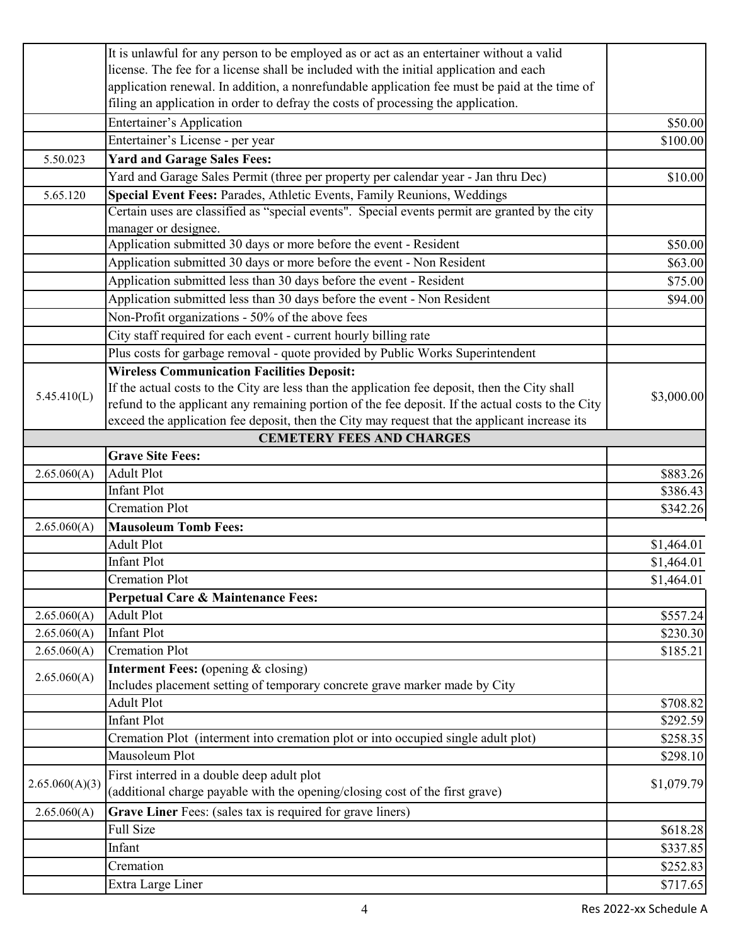|                | It is unlawful for any person to be employed as or act as an entertainer without a valid          |            |
|----------------|---------------------------------------------------------------------------------------------------|------------|
|                | license. The fee for a license shall be included with the initial application and each            |            |
|                | application renewal. In addition, a nonrefundable application fee must be paid at the time of     |            |
|                | filing an application in order to defray the costs of processing the application.                 |            |
|                | <b>Entertainer's Application</b>                                                                  | \$50.00    |
|                | Entertainer's License - per year                                                                  | \$100.00   |
| 5.50.023       | <b>Yard and Garage Sales Fees:</b>                                                                |            |
|                | Yard and Garage Sales Permit (three per property per calendar year - Jan thru Dec)                | \$10.00    |
| 5.65.120       | Special Event Fees: Parades, Athletic Events, Family Reunions, Weddings                           |            |
|                | Certain uses are classified as "special events". Special events permit are granted by the city    |            |
|                | manager or designee.                                                                              |            |
|                | Application submitted 30 days or more before the event - Resident                                 | \$50.00    |
|                | Application submitted 30 days or more before the event - Non Resident                             | \$63.00    |
|                | Application submitted less than 30 days before the event - Resident                               | \$75.00    |
|                | Application submitted less than 30 days before the event - Non Resident                           | \$94.00    |
|                | Non-Profit organizations - 50% of the above fees                                                  |            |
|                | City staff required for each event - current hourly billing rate                                  |            |
|                | Plus costs for garbage removal - quote provided by Public Works Superintendent                    |            |
|                | <b>Wireless Communication Facilities Deposit:</b>                                                 |            |
|                | If the actual costs to the City are less than the application fee deposit, then the City shall    |            |
| 5.45.410(L)    | refund to the applicant any remaining portion of the fee deposit. If the actual costs to the City | \$3,000.00 |
|                | exceed the application fee deposit, then the City may request that the applicant increase its     |            |
|                | <b>CEMETERY FEES AND CHARGES</b>                                                                  |            |
|                | <b>Grave Site Fees:</b>                                                                           |            |
| 2.65.060(A)    | <b>Adult Plot</b>                                                                                 | \$883.26   |
|                | <b>Infant Plot</b>                                                                                | \$386.43   |
|                | <b>Cremation Plot</b>                                                                             | \$342.26   |
| 2.65.060(A)    | <b>Mausoleum Tomb Fees:</b>                                                                       |            |
|                | <b>Adult Plot</b>                                                                                 | \$1,464.01 |
|                | <b>Infant Plot</b>                                                                                | \$1,464.01 |
|                | <b>Cremation Plot</b>                                                                             | \$1,464.01 |
|                | Perpetual Care & Maintenance Fees:                                                                |            |
| 2.65.060(A)    | <b>Adult Plot</b>                                                                                 | \$557.24   |
| 2.65.060(A)    | <b>Infant Plot</b>                                                                                | \$230.30   |
| 2.65.060(A)    | <b>Cremation Plot</b>                                                                             | \$185.21   |
|                | <b>Interment Fees:</b> (opening & closing)                                                        |            |
| 2.65.060(A)    | Includes placement setting of temporary concrete grave marker made by City                        |            |
|                | <b>Adult Plot</b>                                                                                 | \$708.82   |
|                | <b>Infant Plot</b>                                                                                | \$292.59   |
|                | Cremation Plot (interment into cremation plot or into occupied single adult plot)                 | \$258.35   |
|                | Mausoleum Plot                                                                                    | \$298.10   |
|                | First interred in a double deep adult plot                                                        |            |
| 2.65.060(A)(3) | (additional charge payable with the opening/closing cost of the first grave)                      | \$1,079.79 |
| 2.65.060(A)    | Grave Liner Fees: (sales tax is required for grave liners)                                        |            |
|                | <b>Full Size</b>                                                                                  | \$618.28   |
|                | Infant                                                                                            | \$337.85   |
|                | Cremation                                                                                         | \$252.83   |
|                | Extra Large Liner                                                                                 | \$717.65   |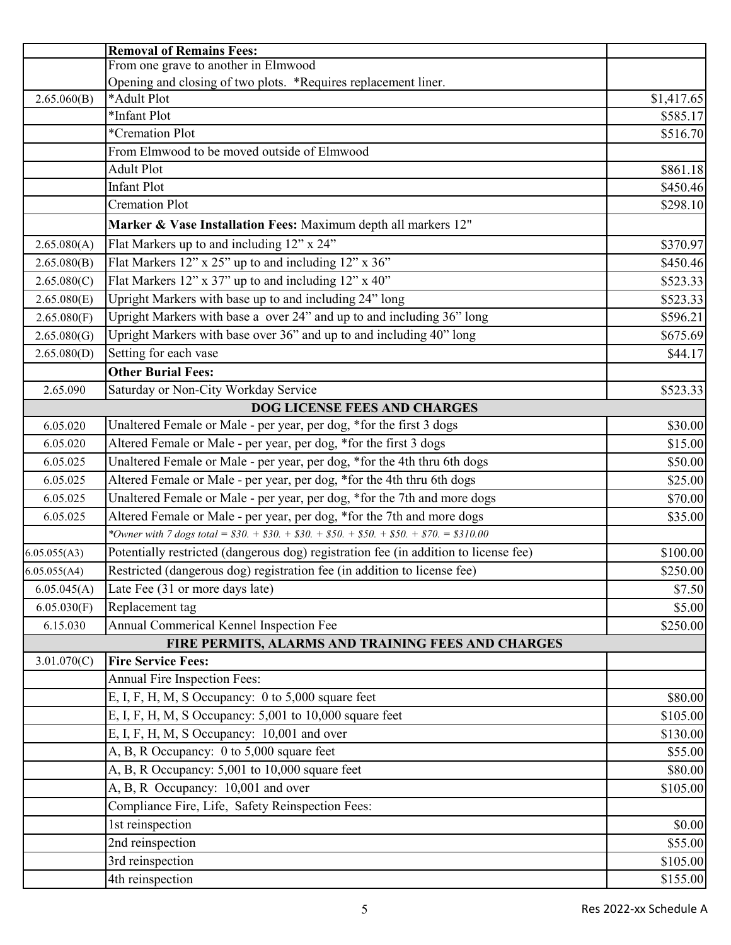|              | <b>Removal of Remains Fees:</b>                                                       |            |
|--------------|---------------------------------------------------------------------------------------|------------|
|              | From one grave to another in Elmwood                                                  |            |
|              | Opening and closing of two plots. *Requires replacement liner.                        |            |
| 2.65.060(B)  | *Adult Plot                                                                           | \$1,417.65 |
|              | *Infant Plot                                                                          | \$585.17   |
|              | *Cremation Plot                                                                       | \$516.70   |
|              | From Elmwood to be moved outside of Elmwood                                           |            |
|              | <b>Adult Plot</b>                                                                     | \$861.18   |
|              | <b>Infant Plot</b>                                                                    | \$450.46   |
|              | <b>Cremation Plot</b>                                                                 | \$298.10   |
|              | Marker & Vase Installation Fees: Maximum depth all markers 12"                        |            |
| 2.65.080(A)  | Flat Markers up to and including 12" x 24"                                            | \$370.97   |
| 2.65.080(B)  | Flat Markers 12" x 25" up to and including 12" x 36"                                  | \$450.46   |
| 2.65.080(C)  | Flat Markers 12" x 37" up to and including 12" x 40"                                  | \$523.33   |
| 2.65.080(E)  | Upright Markers with base up to and including 24" long                                | \$523.33   |
| 2.65.080(F)  | Upright Markers with base a over 24" and up to and including 36" long                 | \$596.21   |
| 2.65.080(G)  | Upright Markers with base over 36" and up to and including 40" long                   | \$675.69   |
| 2.65.080(D)  | Setting for each vase                                                                 | \$44.17    |
|              | <b>Other Burial Fees:</b>                                                             |            |
| 2.65.090     | Saturday or Non-City Workday Service                                                  | \$523.33   |
|              | <b>DOG LICENSE FEES AND CHARGES</b>                                                   |            |
| 6.05.020     | Unaltered Female or Male - per year, per dog, *for the first 3 dogs                   | \$30.00    |
| 6.05.020     | Altered Female or Male - per year, per dog, *for the first 3 dogs                     | \$15.00    |
| 6.05.025     | Unaltered Female or Male - per year, per dog, *for the 4th thru 6th dogs              | \$50.00    |
| 6.05.025     | Altered Female or Male - per year, per dog, *for the 4th thru 6th dogs                | \$25.00    |
| 6.05.025     | Unaltered Female or Male - per year, per dog, *for the 7th and more dogs              | \$70.00    |
| 6.05.025     | Altered Female or Male - per year, per dog, *for the 7th and more dogs                | \$35.00    |
|              | *Owner with 7 dogs total = $$30. + $30. + $30. + $50. + $50. + $50. + $70. = $310.00$ |            |
| 6.05.055(A3) | Potentially restricted (dangerous dog) registration fee (in addition to license fee)  | \$100.00   |
| 6.05.055(A4) | Restricted (dangerous dog) registration fee (in addition to license fee)              | \$250.00   |
| 6.05.045(A)  | Late Fee (31 or more days late)                                                       | \$7.50     |
| 6.05.030(F)  | Replacement tag                                                                       | \$5.00     |
| 6.15.030     | Annual Commerical Kennel Inspection Fee                                               | \$250.00   |
|              | FIRE PERMITS, ALARMS AND TRAINING FEES AND CHARGES                                    |            |
| 3.01.070(C)  | <b>Fire Service Fees:</b>                                                             |            |
|              | Annual Fire Inspection Fees:                                                          |            |
|              | E, I, F, H, M, S Occupancy: 0 to 5,000 square feet                                    | \$80.00    |
|              | E, I, F, H, M, S Occupancy: $5,001$ to $10,000$ square feet                           | \$105.00   |
|              | E, I, F, H, M, S Occupancy: 10,001 and over                                           | \$130.00   |
|              | A, B, R Occupancy: 0 to 5,000 square feet                                             | \$55.00    |
|              | A, B, R Occupancy: 5,001 to 10,000 square feet                                        | \$80.00    |
|              | A, B, R Occupancy: 10,001 and over                                                    | \$105.00   |
|              | Compliance Fire, Life, Safety Reinspection Fees:                                      |            |
|              | 1st reinspection                                                                      | \$0.00     |
|              | 2nd reinspection                                                                      | \$55.00    |
|              | 3rd reinspection                                                                      | \$105.00   |
|              | 4th reinspection                                                                      | \$155.00   |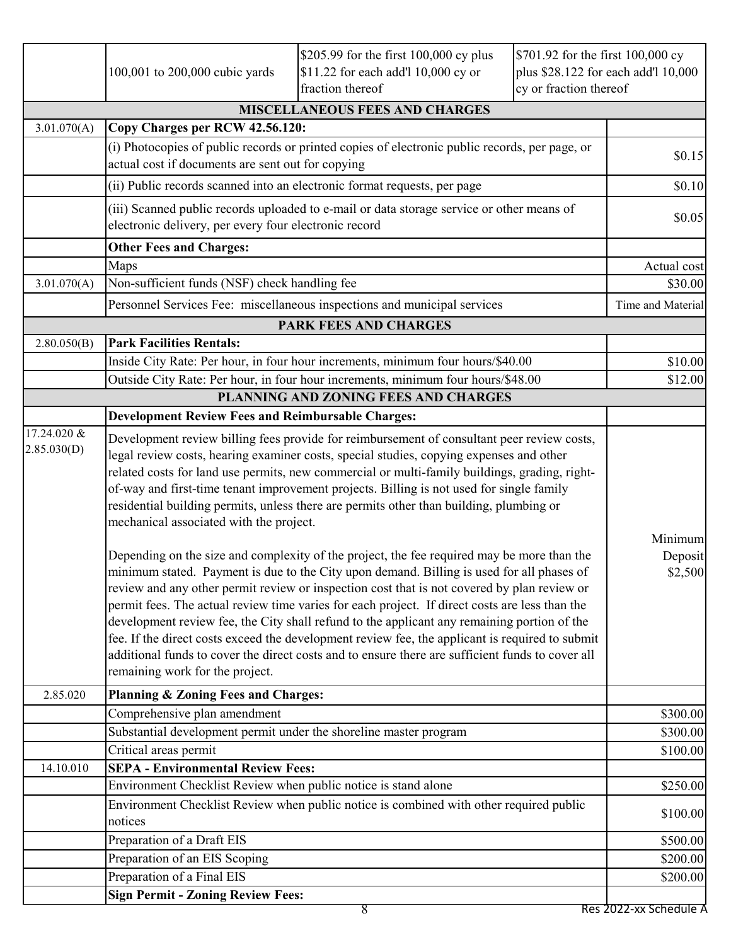|             | \$205.99 for the first 100,000 cy plus<br>\$701.92 for the first 100,000 cy<br>\$11.22 for each add'l 10,000 cy or<br>plus \$28.122 for each add'l 10,000<br>100,001 to 200,000 cubic yards<br>fraction thereof<br>cy or fraction thereof                                                                                                                                                                                                                                                                                                                                                                                                                                                                                                                                                                                                                                                                            |                                       |  |                      |  |  |  |  |
|-------------|----------------------------------------------------------------------------------------------------------------------------------------------------------------------------------------------------------------------------------------------------------------------------------------------------------------------------------------------------------------------------------------------------------------------------------------------------------------------------------------------------------------------------------------------------------------------------------------------------------------------------------------------------------------------------------------------------------------------------------------------------------------------------------------------------------------------------------------------------------------------------------------------------------------------|---------------------------------------|--|----------------------|--|--|--|--|
|             |                                                                                                                                                                                                                                                                                                                                                                                                                                                                                                                                                                                                                                                                                                                                                                                                                                                                                                                      | <b>MISCELLANEOUS FEES AND CHARGES</b> |  |                      |  |  |  |  |
| 3.01.070(A) | Copy Charges per RCW 42.56.120:                                                                                                                                                                                                                                                                                                                                                                                                                                                                                                                                                                                                                                                                                                                                                                                                                                                                                      |                                       |  |                      |  |  |  |  |
|             | (i) Photocopies of public records or printed copies of electronic public records, per page, or<br>actual cost if documents are sent out for copying                                                                                                                                                                                                                                                                                                                                                                                                                                                                                                                                                                                                                                                                                                                                                                  |                                       |  |                      |  |  |  |  |
|             | (ii) Public records scanned into an electronic format requests, per page                                                                                                                                                                                                                                                                                                                                                                                                                                                                                                                                                                                                                                                                                                                                                                                                                                             |                                       |  |                      |  |  |  |  |
|             | (iii) Scanned public records uploaded to e-mail or data storage service or other means of<br>electronic delivery, per every four electronic record                                                                                                                                                                                                                                                                                                                                                                                                                                                                                                                                                                                                                                                                                                                                                                   |                                       |  | \$0.05               |  |  |  |  |
|             | <b>Other Fees and Charges:</b>                                                                                                                                                                                                                                                                                                                                                                                                                                                                                                                                                                                                                                                                                                                                                                                                                                                                                       |                                       |  |                      |  |  |  |  |
|             | Maps                                                                                                                                                                                                                                                                                                                                                                                                                                                                                                                                                                                                                                                                                                                                                                                                                                                                                                                 |                                       |  | Actual cost          |  |  |  |  |
| 3.01.070(A) | Non-sufficient funds (NSF) check handling fee                                                                                                                                                                                                                                                                                                                                                                                                                                                                                                                                                                                                                                                                                                                                                                                                                                                                        |                                       |  | \$30.00              |  |  |  |  |
|             | Personnel Services Fee: miscellaneous inspections and municipal services                                                                                                                                                                                                                                                                                                                                                                                                                                                                                                                                                                                                                                                                                                                                                                                                                                             |                                       |  | Time and Material    |  |  |  |  |
|             |                                                                                                                                                                                                                                                                                                                                                                                                                                                                                                                                                                                                                                                                                                                                                                                                                                                                                                                      | <b>PARK FEES AND CHARGES</b>          |  |                      |  |  |  |  |
| 2.80.050(B) | <b>Park Facilities Rentals:</b>                                                                                                                                                                                                                                                                                                                                                                                                                                                                                                                                                                                                                                                                                                                                                                                                                                                                                      |                                       |  |                      |  |  |  |  |
|             | Inside City Rate: Per hour, in four hour increments, minimum four hours/\$40.00                                                                                                                                                                                                                                                                                                                                                                                                                                                                                                                                                                                                                                                                                                                                                                                                                                      |                                       |  | \$10.00              |  |  |  |  |
|             | Outside City Rate: Per hour, in four hour increments, minimum four hours/\$48.00                                                                                                                                                                                                                                                                                                                                                                                                                                                                                                                                                                                                                                                                                                                                                                                                                                     |                                       |  | \$12.00              |  |  |  |  |
|             |                                                                                                                                                                                                                                                                                                                                                                                                                                                                                                                                                                                                                                                                                                                                                                                                                                                                                                                      | PLANNING AND ZONING FEES AND CHARGES  |  |                      |  |  |  |  |
| 17.24.020 & | <b>Development Review Fees and Reimbursable Charges:</b>                                                                                                                                                                                                                                                                                                                                                                                                                                                                                                                                                                                                                                                                                                                                                                                                                                                             |                                       |  |                      |  |  |  |  |
| 2.85.030(D) | Development review billing fees provide for reimbursement of consultant peer review costs,<br>legal review costs, hearing examiner costs, special studies, copying expenses and other<br>related costs for land use permits, new commercial or multi-family buildings, grading, right-<br>of-way and first-time tenant improvement projects. Billing is not used for single family<br>residential building permits, unless there are permits other than building, plumbing or<br>mechanical associated with the project.<br>Depending on the size and complexity of the project, the fee required may be more than the<br>minimum stated. Payment is due to the City upon demand. Billing is used for all phases of<br>review and any other permit review or inspection cost that is not covered by plan review or<br>permit fees. The actual review time varies for each project. If direct costs are less than the |                                       |  |                      |  |  |  |  |
|             | development review fee, the City shall refund to the applicant any remaining portion of the<br>fee. If the direct costs exceed the development review fee, the applicant is required to submit<br>additional funds to cover the direct costs and to ensure there are sufficient funds to cover all<br>remaining work for the project.                                                                                                                                                                                                                                                                                                                                                                                                                                                                                                                                                                                |                                       |  |                      |  |  |  |  |
| 2.85.020    | <b>Planning &amp; Zoning Fees and Charges:</b>                                                                                                                                                                                                                                                                                                                                                                                                                                                                                                                                                                                                                                                                                                                                                                                                                                                                       |                                       |  |                      |  |  |  |  |
|             | Comprehensive plan amendment                                                                                                                                                                                                                                                                                                                                                                                                                                                                                                                                                                                                                                                                                                                                                                                                                                                                                         |                                       |  | \$300.00             |  |  |  |  |
|             | Substantial development permit under the shoreline master program                                                                                                                                                                                                                                                                                                                                                                                                                                                                                                                                                                                                                                                                                                                                                                                                                                                    |                                       |  | \$300.00             |  |  |  |  |
|             | Critical areas permit                                                                                                                                                                                                                                                                                                                                                                                                                                                                                                                                                                                                                                                                                                                                                                                                                                                                                                |                                       |  | \$100.00             |  |  |  |  |
| 14.10.010   | <b>SEPA - Environmental Review Fees:</b>                                                                                                                                                                                                                                                                                                                                                                                                                                                                                                                                                                                                                                                                                                                                                                                                                                                                             |                                       |  |                      |  |  |  |  |
|             | Environment Checklist Review when public notice is stand alone                                                                                                                                                                                                                                                                                                                                                                                                                                                                                                                                                                                                                                                                                                                                                                                                                                                       |                                       |  | \$250.00             |  |  |  |  |
|             | Environment Checklist Review when public notice is combined with other required public<br>notices                                                                                                                                                                                                                                                                                                                                                                                                                                                                                                                                                                                                                                                                                                                                                                                                                    |                                       |  | \$100.00             |  |  |  |  |
|             | Preparation of a Draft EIS                                                                                                                                                                                                                                                                                                                                                                                                                                                                                                                                                                                                                                                                                                                                                                                                                                                                                           |                                       |  |                      |  |  |  |  |
|             | Preparation of an EIS Scoping                                                                                                                                                                                                                                                                                                                                                                                                                                                                                                                                                                                                                                                                                                                                                                                                                                                                                        |                                       |  | \$500.00<br>\$200.00 |  |  |  |  |
|             | Preparation of a Final EIS                                                                                                                                                                                                                                                                                                                                                                                                                                                                                                                                                                                                                                                                                                                                                                                                                                                                                           |                                       |  | \$200.00             |  |  |  |  |
|             | <b>Sign Permit - Zoning Review Fees:</b>                                                                                                                                                                                                                                                                                                                                                                                                                                                                                                                                                                                                                                                                                                                                                                                                                                                                             |                                       |  |                      |  |  |  |  |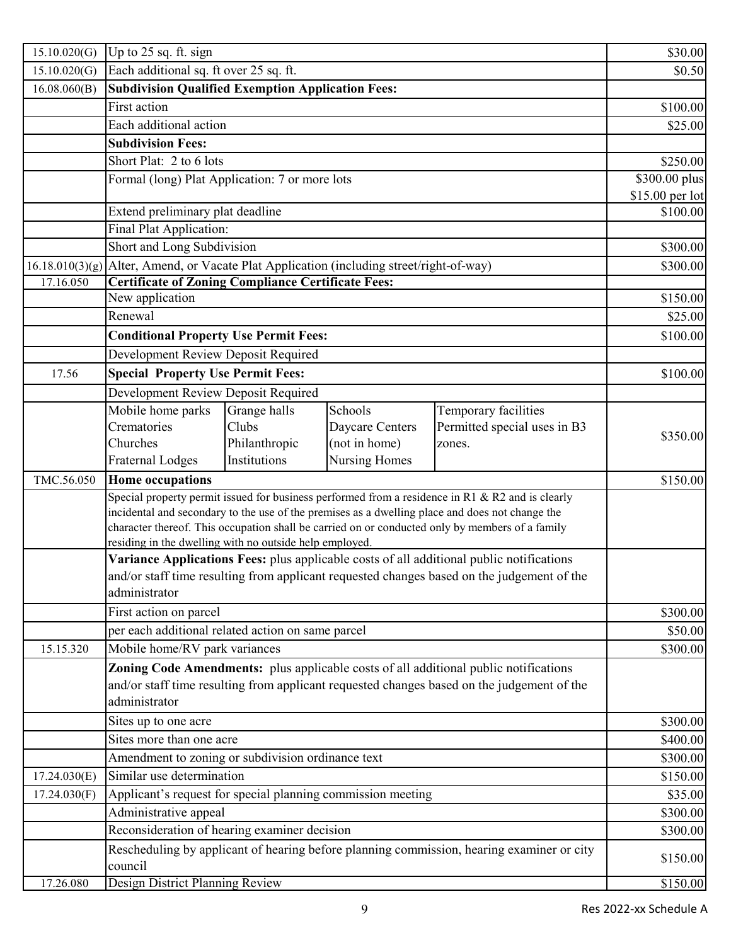| 15.10.020(G) | Up to 25 sq. ft. sign                                                                           |               |                 |                                                                                                  | \$30.00         |  |
|--------------|-------------------------------------------------------------------------------------------------|---------------|-----------------|--------------------------------------------------------------------------------------------------|-----------------|--|
| 15.10.020(G) | Each additional sq. ft over 25 sq. ft.                                                          |               | \$0.50          |                                                                                                  |                 |  |
| 16.08.060(B) | <b>Subdivision Qualified Exemption Application Fees:</b>                                        |               |                 |                                                                                                  |                 |  |
|              | First action                                                                                    |               |                 |                                                                                                  | \$100.00        |  |
|              | Each additional action                                                                          |               |                 |                                                                                                  | \$25.00         |  |
|              | <b>Subdivision Fees:</b>                                                                        |               |                 |                                                                                                  |                 |  |
|              | Short Plat: 2 to 6 lots                                                                         |               |                 |                                                                                                  | \$250.00        |  |
|              | Formal (long) Plat Application: 7 or more lots                                                  |               |                 |                                                                                                  | \$300.00 plus   |  |
|              |                                                                                                 |               |                 |                                                                                                  | \$15.00 per lot |  |
|              | Extend preliminary plat deadline                                                                |               |                 |                                                                                                  |                 |  |
|              | Final Plat Application:                                                                         |               |                 |                                                                                                  |                 |  |
|              | Short and Long Subdivision                                                                      |               |                 |                                                                                                  | \$300.00        |  |
|              | 16.18.010(3)(g) Alter, Amend, or Vacate Plat Application (including street/right-of-way)        |               |                 |                                                                                                  | \$300.00        |  |
| 17.16.050    | <b>Certificate of Zoning Compliance Certificate Fees:</b>                                       |               |                 |                                                                                                  |                 |  |
|              | New application                                                                                 |               |                 |                                                                                                  | \$150.00        |  |
|              | Renewal                                                                                         |               |                 |                                                                                                  | \$25.00         |  |
|              | <b>Conditional Property Use Permit Fees:</b>                                                    |               |                 |                                                                                                  | \$100.00        |  |
|              | Development Review Deposit Required                                                             |               |                 |                                                                                                  |                 |  |
| 17.56        | <b>Special Property Use Permit Fees:</b>                                                        |               |                 |                                                                                                  | \$100.00        |  |
|              | Development Review Deposit Required                                                             |               |                 |                                                                                                  |                 |  |
|              | Mobile home parks                                                                               | Grange halls  | Schools         | Temporary facilities                                                                             |                 |  |
|              | Crematories                                                                                     | Clubs         | Daycare Centers | Permitted special uses in B3                                                                     |                 |  |
|              | Churches                                                                                        | Philanthropic | (not in home)   | zones.                                                                                           | \$350.00        |  |
|              | <b>Fraternal Lodges</b>                                                                         | Institutions  | Nursing Homes   |                                                                                                  |                 |  |
| TMC.56.050   | <b>Home occupations</b>                                                                         |               |                 |                                                                                                  | \$150.00        |  |
|              |                                                                                                 |               |                 | Special property permit issued for business performed from a residence in R1 & R2 and is clearly |                 |  |
|              | incidental and secondary to the use of the premises as a dwelling place and does not change the |               |                 |                                                                                                  |                 |  |
|              |                                                                                                 |               |                 | character thereof. This occupation shall be carried on or conducted only by members of a family  |                 |  |
|              | residing in the dwelling with no outside help employed.                                         |               |                 |                                                                                                  |                 |  |
|              | Variance Applications Fees: plus applicable costs of all additional public notifications        |               |                 |                                                                                                  |                 |  |
|              | and/or staff time resulting from applicant requested changes based on the judgement of the      |               |                 |                                                                                                  |                 |  |
|              | administrator                                                                                   |               |                 |                                                                                                  |                 |  |
|              | First action on parcel                                                                          |               |                 |                                                                                                  | \$300.00        |  |
|              | per each additional related action on same parcel                                               |               |                 |                                                                                                  | \$50.00         |  |
| 15.15.320    | Mobile home/RV park variances                                                                   |               |                 |                                                                                                  | \$300.00        |  |
|              | Zoning Code Amendments: plus applicable costs of all additional public notifications            |               |                 |                                                                                                  |                 |  |
|              | and/or staff time resulting from applicant requested changes based on the judgement of the      |               |                 |                                                                                                  |                 |  |
|              | administrator                                                                                   |               |                 |                                                                                                  |                 |  |
|              | Sites up to one acre                                                                            |               |                 |                                                                                                  | \$300.00        |  |
|              | Sites more than one acre                                                                        |               | \$400.00        |                                                                                                  |                 |  |
|              | Amendment to zoning or subdivision ordinance text                                               |               |                 |                                                                                                  | \$300.00        |  |
| 17.24.030(E) | Similar use determination                                                                       |               |                 |                                                                                                  | \$150.00        |  |
| 17.24.030(F) | Applicant's request for special planning commission meeting                                     |               |                 |                                                                                                  | \$35.00         |  |
|              | Administrative appeal                                                                           |               |                 |                                                                                                  | \$300.00        |  |
|              | Reconsideration of hearing examiner decision                                                    |               |                 |                                                                                                  | \$300.00        |  |
|              |                                                                                                 |               |                 | Rescheduling by applicant of hearing before planning commission, hearing examiner or city        |                 |  |
|              | council                                                                                         |               |                 |                                                                                                  | \$150.00        |  |
| 17.26.080    | Design District Planning Review                                                                 |               |                 |                                                                                                  | \$150.00        |  |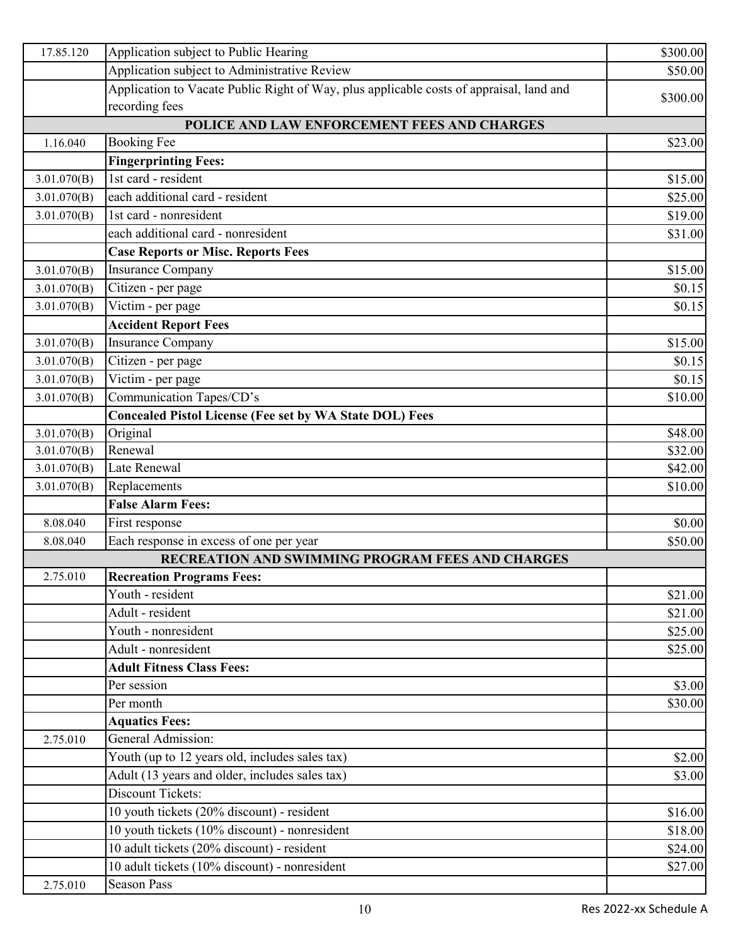| 17.85.120   | Application subject to Public Hearing                                                   | \$300.00 |
|-------------|-----------------------------------------------------------------------------------------|----------|
|             | Application subject to Administrative Review                                            | \$50.00  |
|             | Application to Vacate Public Right of Way, plus applicable costs of appraisal, land and |          |
|             | recording fees                                                                          | \$300.00 |
|             | POLICE AND LAW ENFORCEMENT FEES AND CHARGES                                             |          |
| 1.16.040    | <b>Booking Fee</b>                                                                      | \$23.00  |
|             | <b>Fingerprinting Fees:</b>                                                             |          |
| 3.01.070(B) | 1st card - resident                                                                     | \$15.00  |
| 3.01.070(B) | each additional card - resident                                                         | \$25.00  |
| 3.01.070(B) | 1st card - nonresident                                                                  | \$19.00  |
|             | each additional card - nonresident                                                      | \$31.00  |
|             | <b>Case Reports or Misc. Reports Fees</b>                                               |          |
| 3.01.070(B) | <b>Insurance Company</b>                                                                | \$15.00  |
| 3.01.070(B) | Citizen - per page                                                                      | \$0.15   |
| 3.01.070(B) | Victim - per page                                                                       | \$0.15   |
|             | <b>Accident Report Fees</b>                                                             |          |
| 3.01.070(B) | <b>Insurance Company</b>                                                                | \$15.00  |
| 3.01.070(B) | Citizen - per page                                                                      | \$0.15   |
| 3.01.070(B) | Victim - per page                                                                       | \$0.15   |
| 3.01.070(B) | Communication Tapes/CD's                                                                | \$10.00  |
|             | <b>Concealed Pistol License (Fee set by WA State DOL) Fees</b>                          |          |
| 3.01.070(B) | Original                                                                                | \$48.00  |
| 3.01.070(B) | Renewal                                                                                 | \$32.00  |
| 3.01.070(B) | Late Renewal                                                                            | \$42.00  |
| 3.01.070(B) | Replacements                                                                            | \$10.00  |
|             | <b>False Alarm Fees:</b>                                                                |          |
| 8.08.040    | First response                                                                          | \$0.00   |
| 8.08.040    | Each response in excess of one per year                                                 | \$50.00  |
|             | RECREATION AND SWIMMING PROGRAM FEES AND CHARGES                                        |          |
| 2.75.010    | <b>Recreation Programs Fees:</b>                                                        |          |
|             | Youth - resident                                                                        | \$21.00  |
|             | Adult - resident                                                                        | \$21.00  |
|             | Youth - nonresident                                                                     | \$25.00  |
|             | Adult - nonresident                                                                     | \$25.00  |
|             | <b>Adult Fitness Class Fees:</b>                                                        |          |
|             | Per session                                                                             | \$3.00   |
|             | Per month                                                                               | \$30.00  |
|             | <b>Aquatics Fees:</b>                                                                   |          |
| 2.75.010    | General Admission:                                                                      |          |
|             | Youth (up to 12 years old, includes sales tax)                                          | \$2.00   |
|             | Adult (13 years and older, includes sales tax)                                          | \$3.00   |
|             | <b>Discount Tickets:</b>                                                                |          |
|             | 10 youth tickets (20% discount) - resident                                              | \$16.00  |
|             | 10 youth tickets (10% discount) - nonresident                                           | \$18.00  |
|             | 10 adult tickets (20% discount) - resident                                              | \$24.00  |
|             | 10 adult tickets (10% discount) - nonresident                                           | \$27.00  |
| 2.75.010    | <b>Season Pass</b>                                                                      |          |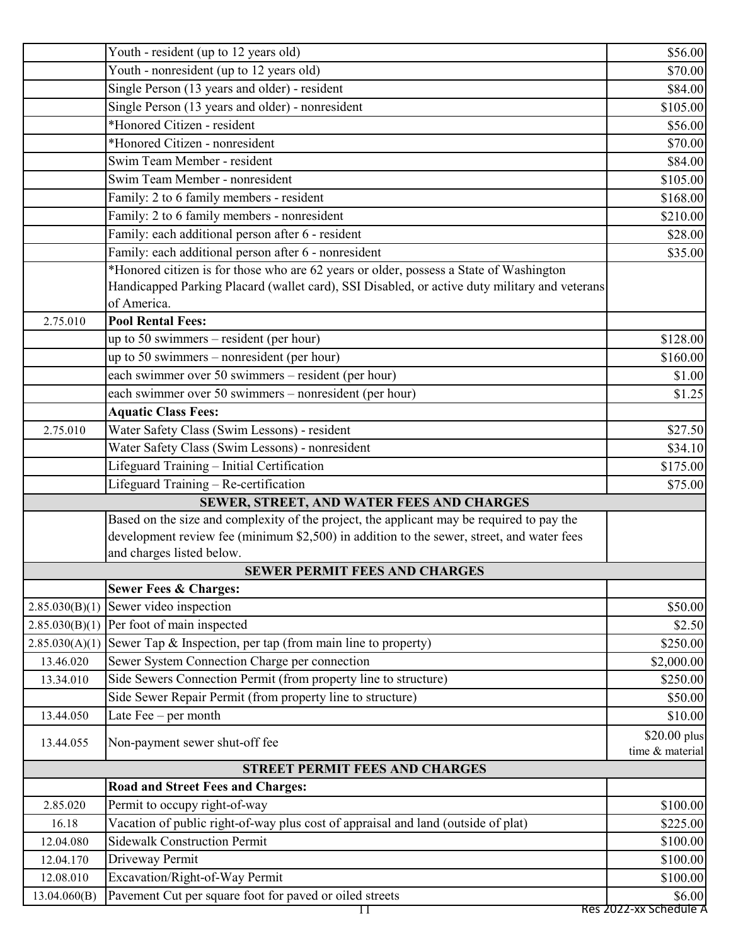|                | Youth - resident (up to 12 years old)                                                         | \$56.00                         |
|----------------|-----------------------------------------------------------------------------------------------|---------------------------------|
|                | Youth - nonresident (up to 12 years old)                                                      | \$70.00                         |
|                | Single Person (13 years and older) - resident                                                 | \$84.00                         |
|                | Single Person (13 years and older) - nonresident                                              | \$105.00                        |
|                | *Honored Citizen - resident                                                                   | \$56.00                         |
|                | *Honored Citizen - nonresident                                                                | \$70.00                         |
|                | Swim Team Member - resident                                                                   | \$84.00                         |
|                | Swim Team Member - nonresident                                                                | \$105.00                        |
|                | Family: 2 to 6 family members - resident                                                      | \$168.00                        |
|                | Family: 2 to 6 family members - nonresident                                                   | \$210.00                        |
|                | Family: each additional person after 6 - resident                                             | \$28.00                         |
|                | Family: each additional person after 6 - nonresident                                          | \$35.00                         |
|                | *Honored citizen is for those who are 62 years or older, possess a State of Washington        |                                 |
|                | Handicapped Parking Placard (wallet card), SSI Disabled, or active duty military and veterans |                                 |
|                | of America.                                                                                   |                                 |
| 2.75.010       | <b>Pool Rental Fees:</b>                                                                      |                                 |
|                | up to 50 swimmers $-$ resident (per hour)                                                     | \$128.00                        |
|                | up to 50 swimmers – nonresident (per hour)                                                    | \$160.00                        |
|                | each swimmer over 50 swimmers – resident (per hour)                                           | \$1.00                          |
|                | each swimmer over 50 swimmers - nonresident (per hour)                                        | \$1.25                          |
|                | <b>Aquatic Class Fees:</b>                                                                    |                                 |
| 2.75.010       | Water Safety Class (Swim Lessons) - resident                                                  | \$27.50                         |
|                | Water Safety Class (Swim Lessons) - nonresident                                               | \$34.10                         |
|                | Lifeguard Training - Initial Certification                                                    | \$175.00                        |
|                | Lifeguard Training - Re-certification                                                         | \$75.00                         |
|                | SEWER, STREET, AND WATER FEES AND CHARGES                                                     |                                 |
|                | Based on the size and complexity of the project, the applicant may be required to pay the     |                                 |
|                | development review fee (minimum \$2,500) in addition to the sewer, street, and water fees     |                                 |
|                | and charges listed below.                                                                     |                                 |
|                | <b>SEWER PERMIT FEES AND CHARGES</b>                                                          |                                 |
|                | <b>Sewer Fees &amp; Charges:</b>                                                              |                                 |
| 2.85.030(B)(1) | Sewer video inspection                                                                        | \$50.00                         |
| 2.85.030(B)(1) | Per foot of main inspected                                                                    | \$2.50                          |
| 2.85.030(A)(1) | Sewer Tap & Inspection, per tap (from main line to property)                                  | \$250.00                        |
| 13.46.020      | Sewer System Connection Charge per connection                                                 | \$2,000.00                      |
| 13.34.010      | Side Sewers Connection Permit (from property line to structure)                               | \$250.00                        |
|                | Side Sewer Repair Permit (from property line to structure)                                    | \$50.00                         |
| 13.44.050      | Late $\text{Fee}-\text{per month}$                                                            | \$10.00                         |
| 13.44.055      | Non-payment sewer shut-off fee                                                                | \$20.00 plus<br>time & material |
|                | <b>STREET PERMIT FEES AND CHARGES</b>                                                         |                                 |
|                | <b>Road and Street Fees and Charges:</b>                                                      |                                 |
| 2.85.020       | Permit to occupy right-of-way                                                                 | \$100.00                        |
| 16.18          | Vacation of public right-of-way plus cost of appraisal and land (outside of plat)             | \$225.00                        |
| 12.04.080      | <b>Sidewalk Construction Permit</b>                                                           | \$100.00                        |
| 12.04.170      | Driveway Permit                                                                               | \$100.00                        |
| 12.08.010      | Excavation/Right-of-Way Permit                                                                | \$100.00                        |
| 13.04.060(B)   | Pavement Cut per square foot for paved or oiled streets                                       | \$6.00                          |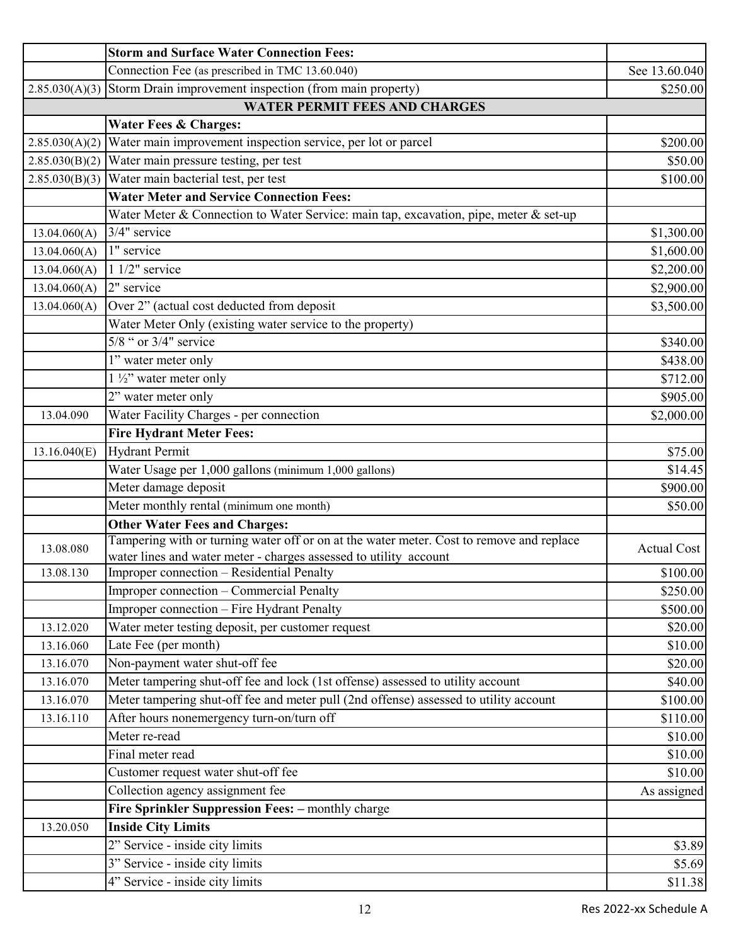|                | <b>Storm and Surface Water Connection Fees:</b>                                          |                    |
|----------------|------------------------------------------------------------------------------------------|--------------------|
|                | Connection Fee (as prescribed in TMC 13.60.040)                                          | See 13.60.040      |
| 2.85.030(A)(3) | Storm Drain improvement inspection (from main property)                                  | \$250.00           |
|                | <b>WATER PERMIT FEES AND CHARGES</b>                                                     |                    |
|                | <b>Water Fees &amp; Charges:</b>                                                         |                    |
| 2.85.030(A)(2) | Water main improvement inspection service, per lot or parcel                             | \$200.00           |
| 2.85.030(B)(2) | Water main pressure testing, per test                                                    | \$50.00            |
|                | $2.85.030(B)(3)$ Water main bacterial test, per test                                     | \$100.00           |
|                | <b>Water Meter and Service Connection Fees:</b>                                          |                    |
|                | Water Meter & Connection to Water Service: main tap, excavation, pipe, meter & set-up    |                    |
| 13.04.060(A)   | 3/4" service                                                                             | \$1,300.00         |
| 13.04.060(A)   | 1" service                                                                               | \$1,600.00         |
| 13.04.060(A)   | $11/2$ " service                                                                         | \$2,200.00         |
| 13.04.060(A)   | 2" service                                                                               | \$2,900.00         |
| 13.04.060(A)   | Over 2" (actual cost deducted from deposit                                               | \$3,500.00         |
|                | Water Meter Only (existing water service to the property)                                |                    |
|                | $5/8$ " or $3/4$ " service                                                               | \$340.00           |
|                | 1" water meter only                                                                      | \$438.00           |
|                | $1\frac{1}{2}$ " water meter only                                                        | \$712.00           |
|                | 2" water meter only                                                                      | \$905.00           |
| 13.04.090      | Water Facility Charges - per connection                                                  | \$2,000.00         |
|                | <b>Fire Hydrant Meter Fees:</b>                                                          |                    |
| 13.16.040(E)   | <b>Hydrant Permit</b>                                                                    | \$75.00            |
|                | Water Usage per 1,000 gallons (minimum 1,000 gallons)                                    | \$14.45            |
|                | Meter damage deposit                                                                     | \$900.00           |
|                | Meter monthly rental (minimum one month)                                                 | \$50.00            |
|                | <b>Other Water Fees and Charges:</b>                                                     |                    |
| 13.08.080      | Tampering with or turning water off or on at the water meter. Cost to remove and replace | <b>Actual Cost</b> |
|                | water lines and water meter - charges assessed to utility account                        |                    |
| 13.08.130      | Improper connection - Residential Penalty                                                | \$100.00           |
|                | Improper connection - Commercial Penalty                                                 | \$250.00           |
|                | Improper connection - Fire Hydrant Penalty                                               | \$500.00           |
| 13.12.020      | Water meter testing deposit, per customer request                                        | \$20.00            |
| 13.16.060      | Late Fee (per month)                                                                     | \$10.00            |
| 13.16.070      | Non-payment water shut-off fee                                                           | \$20.00            |
| 13.16.070      | Meter tampering shut-off fee and lock (1st offense) assessed to utility account          | \$40.00            |
| 13.16.070      | Meter tampering shut-off fee and meter pull (2nd offense) assessed to utility account    | \$100.00           |
| 13.16.110      | After hours nonemergency turn-on/turn off<br>Meter re-read                               | \$110.00           |
|                |                                                                                          | \$10.00            |
|                | Final meter read                                                                         | \$10.00            |
|                | Customer request water shut-off fee                                                      | \$10.00            |
|                | Collection agency assignment fee                                                         | As assigned        |
|                | Fire Sprinkler Suppression Fees: - monthly charge                                        |                    |
| 13.20.050      | <b>Inside City Limits</b>                                                                |                    |
|                | 2" Service - inside city limits                                                          | \$3.89             |
|                | 3" Service - inside city limits                                                          | \$5.69             |
|                | 4" Service - inside city limits                                                          | \$11.38            |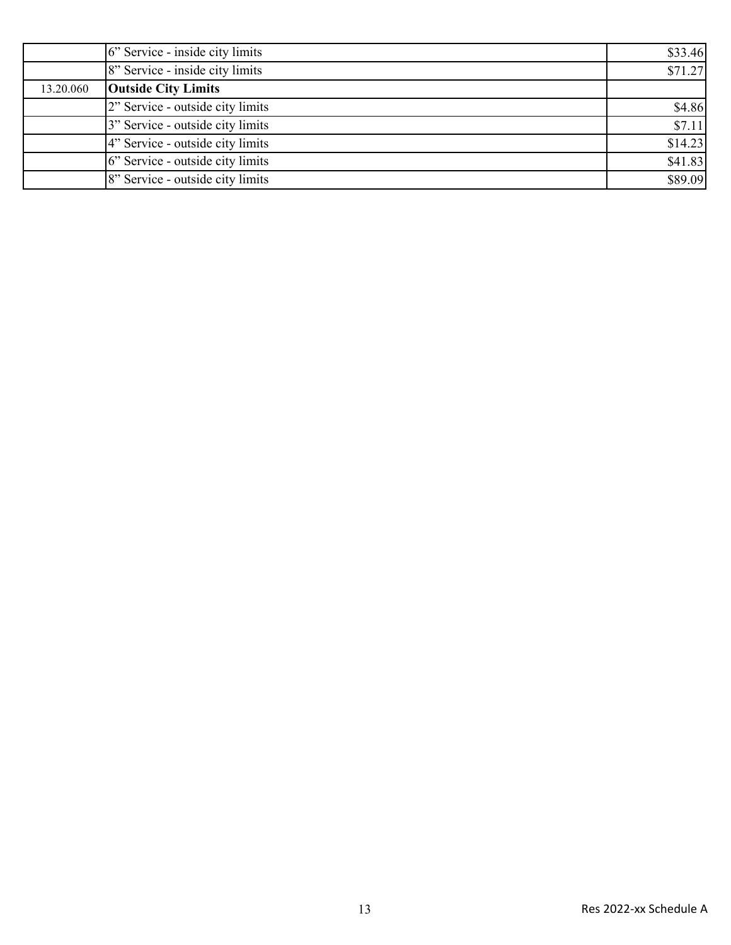|           | 6" Service - inside city limits  | \$33.46 |
|-----------|----------------------------------|---------|
|           | 8" Service - inside city limits  | \$71.27 |
| 13.20.060 | <b>Outside City Limits</b>       |         |
|           | 2" Service - outside city limits | \$4.86  |
|           | 3" Service - outside city limits | \$7.11  |
|           | 4" Service - outside city limits | \$14.23 |
|           | 6" Service - outside city limits | \$41.83 |
|           | 8" Service - outside city limits | \$89.09 |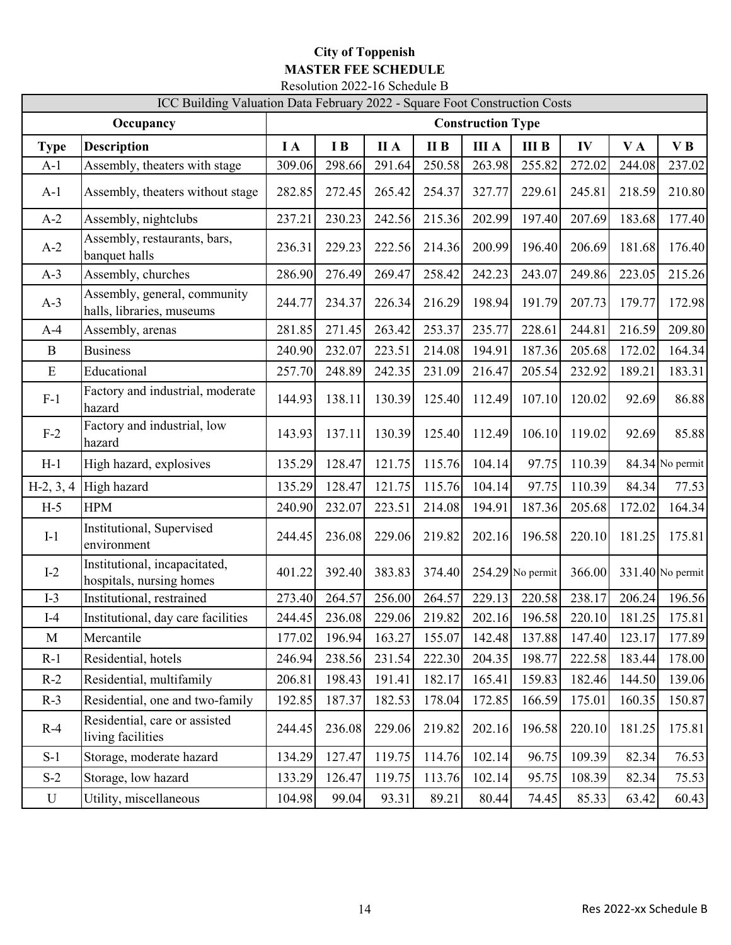## **City of Toppenish MASTER FEE SCHEDULE** Resolution 2022-16 Schedule B

|              | ICC Building Valuation Data February 2022 - Square Foot Construction Costs |            |        |             |        |              |                    |        |        |                    |
|--------------|----------------------------------------------------------------------------|------------|--------|-------------|--------|--------------|--------------------|--------|--------|--------------------|
|              | <b>Construction Type</b>                                                   |            |        |             |        |              |                    |        |        |                    |
| <b>Type</b>  | <b>Description</b>                                                         | $I\Lambda$ | I B    | <b>II</b> A | II B   | <b>III</b> A | <b>III B</b>       | IV     | VA     | VB                 |
| $A-1$        | Assembly, theaters with stage                                              | 309.06     | 298.66 | 291.64      | 250.58 | 263.98       | 255.82             | 272.02 | 244.08 | 237.02             |
| $A-1$        | Assembly, theaters without stage                                           | 282.85     | 272.45 | 265.42      | 254.37 | 327.77       | 229.61             | 245.81 | 218.59 | 210.80             |
| $A-2$        | Assembly, nightclubs                                                       | 237.21     | 230.23 | 242.56      | 215.36 | 202.99       | 197.40             | 207.69 | 183.68 | 177.40             |
| $A-2$        | Assembly, restaurants, bars,<br>banquet halls                              | 236.31     | 229.23 | 222.56      | 214.36 | 200.99       | 196.40             | 206.69 | 181.68 | 176.40             |
| $A-3$        | Assembly, churches                                                         | 286.90     | 276.49 | 269.47      | 258.42 | 242.23       | 243.07             | 249.86 | 223.05 | 215.26             |
| $A-3$        | Assembly, general, community<br>halls, libraries, museums                  | 244.77     | 234.37 | 226.34      | 216.29 | 198.94       | 191.79             | 207.73 | 179.77 | 172.98             |
| $A-4$        | Assembly, arenas                                                           | 281.85     | 271.45 | 263.42      | 253.37 | 235.77       | 228.61             | 244.81 | 216.59 | 209.80             |
| $\mathbf B$  | <b>Business</b>                                                            | 240.90     | 232.07 | 223.51      | 214.08 | 194.91       | 187.36             | 205.68 | 172.02 | 164.34             |
| E            | Educational                                                                | 257.70     | 248.89 | 242.35      | 231.09 | 216.47       | 205.54             | 232.92 | 189.21 | 183.31             |
| $F-1$        | Factory and industrial, moderate<br>hazard                                 | 144.93     | 138.11 | 130.39      | 125.40 | 112.49       | 107.10             | 120.02 | 92.69  | 86.88              |
| $F-2$        | Factory and industrial, low<br>hazard                                      | 143.93     | 137.11 | 130.39      | 125.40 | 112.49       | 106.10             | 119.02 | 92.69  | 85.88              |
| $H-1$        | High hazard, explosives                                                    | 135.29     | 128.47 | 121.75      | 115.76 | 104.14       | 97.75              | 110.39 |        | 84.34 No permit    |
| $H-2, 3, 4$  | High hazard                                                                | 135.29     | 128.47 | 121.75      | 115.76 | 104.14       | 97.75              | 110.39 | 84.34  | 77.53              |
| $H-5$        | <b>HPM</b>                                                                 | 240.90     | 232.07 | 223.51      | 214.08 | 194.91       | 187.36             | 205.68 | 172.02 | 164.34             |
| $I-1$        | Institutional, Supervised<br>environment                                   | 244.45     | 236.08 | 229.06      | 219.82 | 202.16       | 196.58             | 220.10 | 181.25 | 175.81             |
| $I-2$        | Institutional, incapacitated,<br>hospitals, nursing homes                  | 401.22     | 392.40 | 383.83      | 374.40 |              | $254.29$ No permit | 366.00 |        | $331.40$ No permit |
| $I-3$        | Institutional, restrained                                                  | 273.40     | 264.57 | 256.00      | 264.57 | 229.13       | 220.58             | 238.17 | 206.24 | 196.56             |
| $I-4$        | Institutional, day care facilities                                         | 244.45     | 236.08 | 229.06      | 219.82 | 202.16       | 196.58             | 220.10 | 181.25 | 175.81             |
| $\mathbf{M}$ | Mercantile                                                                 | 177.02     | 196.94 | 163.27      | 155.07 | 142.48       | 137.88             | 147.40 | 123.17 | 177.89             |
| $R-1$        | Residential, hotels                                                        | 246.94     | 238.56 | 231.54      | 222.30 | 204.35       | 198.77             | 222.58 | 183.44 | 178.00             |
| $R-2$        | Residential, multifamily                                                   | 206.81     | 198.43 | 191.41      | 182.17 | 165.41       | 159.83             | 182.46 | 144.50 | 139.06             |
| $R-3$        | Residential, one and two-family                                            | 192.85     | 187.37 | 182.53      | 178.04 | 172.85       | 166.59             | 175.01 | 160.35 | 150.87             |
| $R-4$        | Residential, care or assisted<br>living facilities                         | 244.45     | 236.08 | 229.06      | 219.82 | 202.16       | 196.58             | 220.10 | 181.25 | 175.81             |
| $S-1$        | Storage, moderate hazard                                                   | 134.29     | 127.47 | 119.75      | 114.76 | 102.14       | 96.75              | 109.39 | 82.34  | 76.53              |
| $S-2$        | Storage, low hazard                                                        | 133.29     | 126.47 | 119.75      | 113.76 | 102.14       | 95.75              | 108.39 | 82.34  | 75.53              |
| $\mathbf U$  | Utility, miscellaneous                                                     | 104.98     | 99.04  | 93.31       | 89.21  | 80.44        | 74.45              | 85.33  | 63.42  | 60.43              |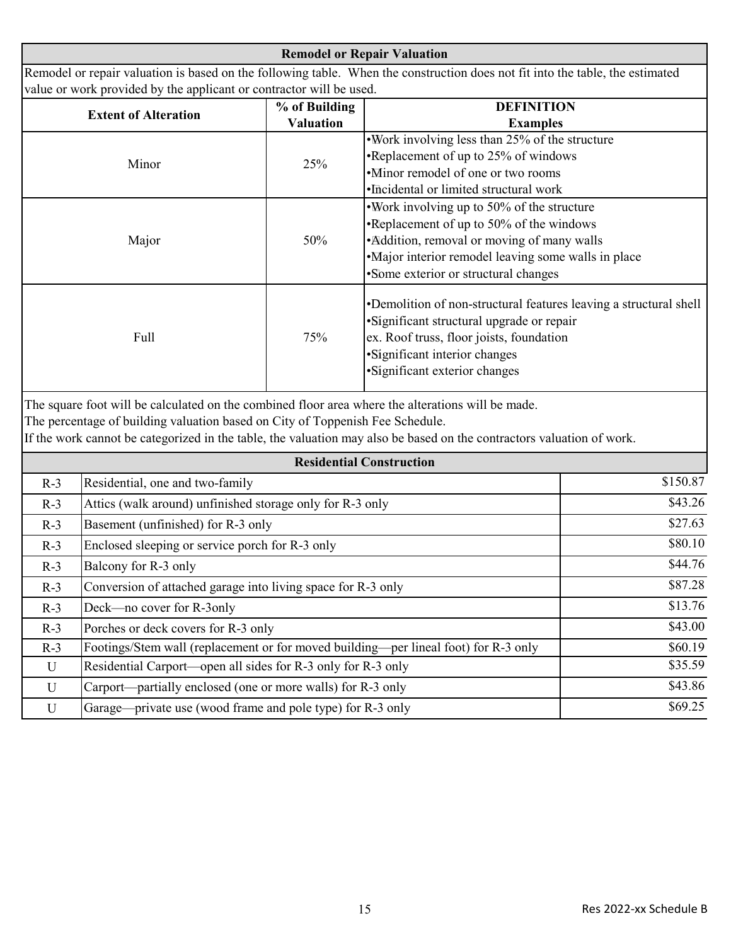**Remodel or Repair Valuation** Remodel or repair valuation is based on the following table. When the construction does not fit into the table, the estimated value or work provided by the applicant or contractor will be used.

| <b>Extent of Alteration</b> | % of Building    | <b>DEFINITION</b>                                                                                                                                                                                                              |  |  |  |
|-----------------------------|------------------|--------------------------------------------------------------------------------------------------------------------------------------------------------------------------------------------------------------------------------|--|--|--|
|                             | <b>Valuation</b> | <b>Examples</b>                                                                                                                                                                                                                |  |  |  |
| Minor                       | 25%              | •Work involving less than 25% of the structure                                                                                                                                                                                 |  |  |  |
|                             |                  | •Replacement of up to 25% of windows                                                                                                                                                                                           |  |  |  |
|                             |                  | •Minor remodel of one or two rooms                                                                                                                                                                                             |  |  |  |
|                             |                  | •Incidental or limited structural work                                                                                                                                                                                         |  |  |  |
| Major                       | 50%              | . Work involving up to 50% of the structure                                                                                                                                                                                    |  |  |  |
|                             |                  | •Replacement of up to 50% of the windows                                                                                                                                                                                       |  |  |  |
|                             |                  | • Addition, removal or moving of many walls                                                                                                                                                                                    |  |  |  |
|                             |                  | •Major interior remodel leaving some walls in place                                                                                                                                                                            |  |  |  |
|                             |                  | •Some exterior or structural changes                                                                                                                                                                                           |  |  |  |
| Full                        | 75%              | •Demolition of non-structural features leaving a structural shell<br>• Significant structural upgrade or repair<br>ex. Roof truss, floor joists, foundation<br>• Significant interior changes<br>•Significant exterior changes |  |  |  |

The square foot will be calculated on the combined floor area where the alterations will be made.

The percentage of building valuation based on City of Toppenish Fee Schedule.

If the work cannot be categorized in the table, the valuation may also be based on the contractors valuation of work.

| <b>Residential Construction</b> |                                                                                     |          |
|---------------------------------|-------------------------------------------------------------------------------------|----------|
| $R-3$                           | Residential, one and two-family                                                     | \$150.87 |
| $R-3$                           | Attics (walk around) unfinished storage only for R-3 only                           | \$43.26  |
| $R-3$                           | Basement (unfinished) for R-3 only                                                  | \$27.63  |
| $R-3$                           | Enclosed sleeping or service porch for R-3 only                                     | \$80.10  |
| $R-3$                           | Balcony for R-3 only                                                                | \$44.76  |
| $R-3$                           | Conversion of attached garage into living space for R-3 only                        | \$87.28  |
| $R-3$                           | Deck—no cover for R-3only                                                           | \$13.76  |
| $R-3$                           | Porches or deck covers for R-3 only                                                 | \$43.00  |
| $R-3$                           | Footings/Stem wall (replacement or for moved building—per lineal foot) for R-3 only | \$60.19  |
| U                               | Residential Carport—open all sides for R-3 only for R-3 only                        | \$35.59  |
| U                               | Carport—partially enclosed (one or more walls) for R-3 only                         | \$43.86  |
| U                               | Garage—private use (wood frame and pole type) for R-3 only                          | \$69.25  |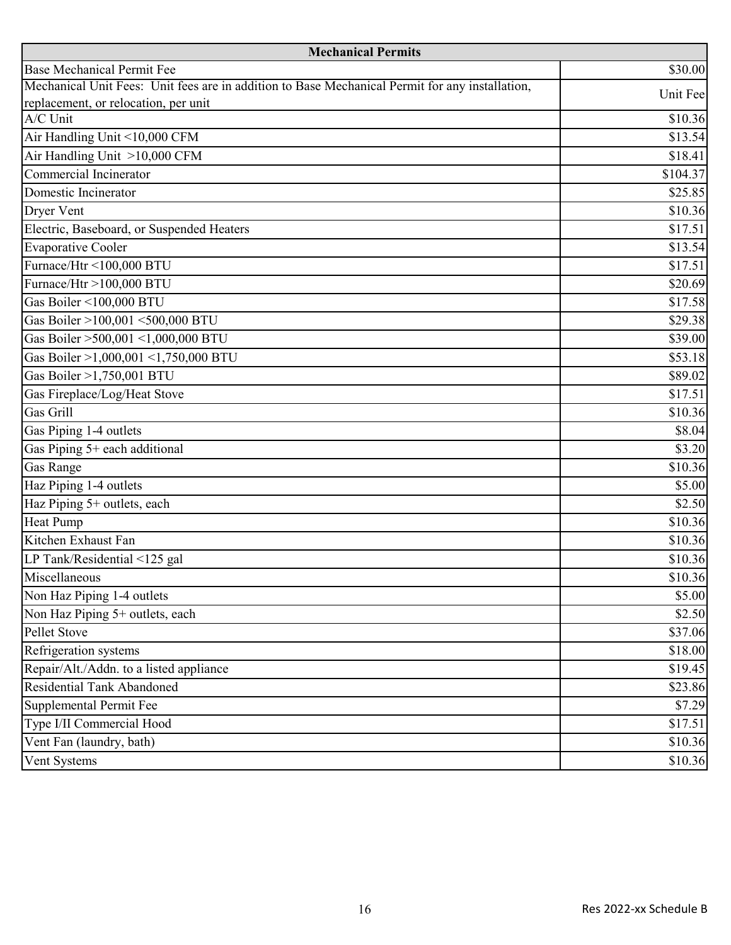| <b>Mechanical Permits</b>                                                                       |          |  |  |
|-------------------------------------------------------------------------------------------------|----------|--|--|
| <b>Base Mechanical Permit Fee</b>                                                               | \$30.00  |  |  |
| Mechanical Unit Fees: Unit fees are in addition to Base Mechanical Permit for any installation, | Unit Fee |  |  |
| replacement, or relocation, per unit                                                            |          |  |  |
| A/C Unit                                                                                        | \$10.36  |  |  |
| Air Handling Unit <10,000 CFM                                                                   | \$13.54  |  |  |
| Air Handling Unit >10,000 CFM                                                                   | \$18.41  |  |  |
| Commercial Incinerator                                                                          | \$104.37 |  |  |
| Domestic Incinerator                                                                            | \$25.85  |  |  |
| Dryer Vent                                                                                      | \$10.36  |  |  |
| Electric, Baseboard, or Suspended Heaters                                                       | \$17.51  |  |  |
| <b>Evaporative Cooler</b>                                                                       | \$13.54  |  |  |
| Furnace/Htr <100,000 BTU                                                                        | \$17.51  |  |  |
| Furnace/Htr >100,000 BTU                                                                        | \$20.69  |  |  |
| Gas Boiler <100,000 BTU                                                                         | \$17.58  |  |  |
| Gas Boiler >100,001 <500,000 BTU                                                                | \$29.38  |  |  |
| Gas Boiler >500,001 <1,000,000 BTU                                                              | \$39.00  |  |  |
| Gas Boiler >1,000,001 <1,750,000 BTU                                                            | \$53.18  |  |  |
| Gas Boiler >1,750,001 BTU                                                                       | \$89.02  |  |  |
| Gas Fireplace/Log/Heat Stove                                                                    | \$17.51  |  |  |
| Gas Grill                                                                                       | \$10.36  |  |  |
| Gas Piping 1-4 outlets                                                                          | \$8.04   |  |  |
| Gas Piping 5+ each additional                                                                   | \$3.20   |  |  |
| <b>Gas Range</b>                                                                                | \$10.36  |  |  |
| Haz Piping 1-4 outlets                                                                          | \$5.00   |  |  |
| Haz Piping 5+ outlets, each                                                                     | \$2.50   |  |  |
| <b>Heat Pump</b>                                                                                | \$10.36  |  |  |
| Kitchen Exhaust Fan                                                                             | \$10.36  |  |  |
| LP Tank/Residential <125 gal                                                                    | \$10.36  |  |  |
| Miscellaneous                                                                                   | \$10.36  |  |  |
| Non Haz Piping 1-4 outlets                                                                      | \$5.00   |  |  |
| Non Haz Piping 5+ outlets, each                                                                 | \$2.50   |  |  |
| Pellet Stove                                                                                    | \$37.06  |  |  |
| Refrigeration systems                                                                           | \$18.00  |  |  |
| Repair/Alt./Addn. to a listed appliance                                                         | \$19.45  |  |  |
| Residential Tank Abandoned                                                                      | \$23.86  |  |  |
| Supplemental Permit Fee                                                                         | \$7.29   |  |  |
| Type I/II Commercial Hood                                                                       | \$17.51  |  |  |
| Vent Fan (laundry, bath)                                                                        | \$10.36  |  |  |
| Vent Systems                                                                                    | \$10.36  |  |  |
|                                                                                                 |          |  |  |